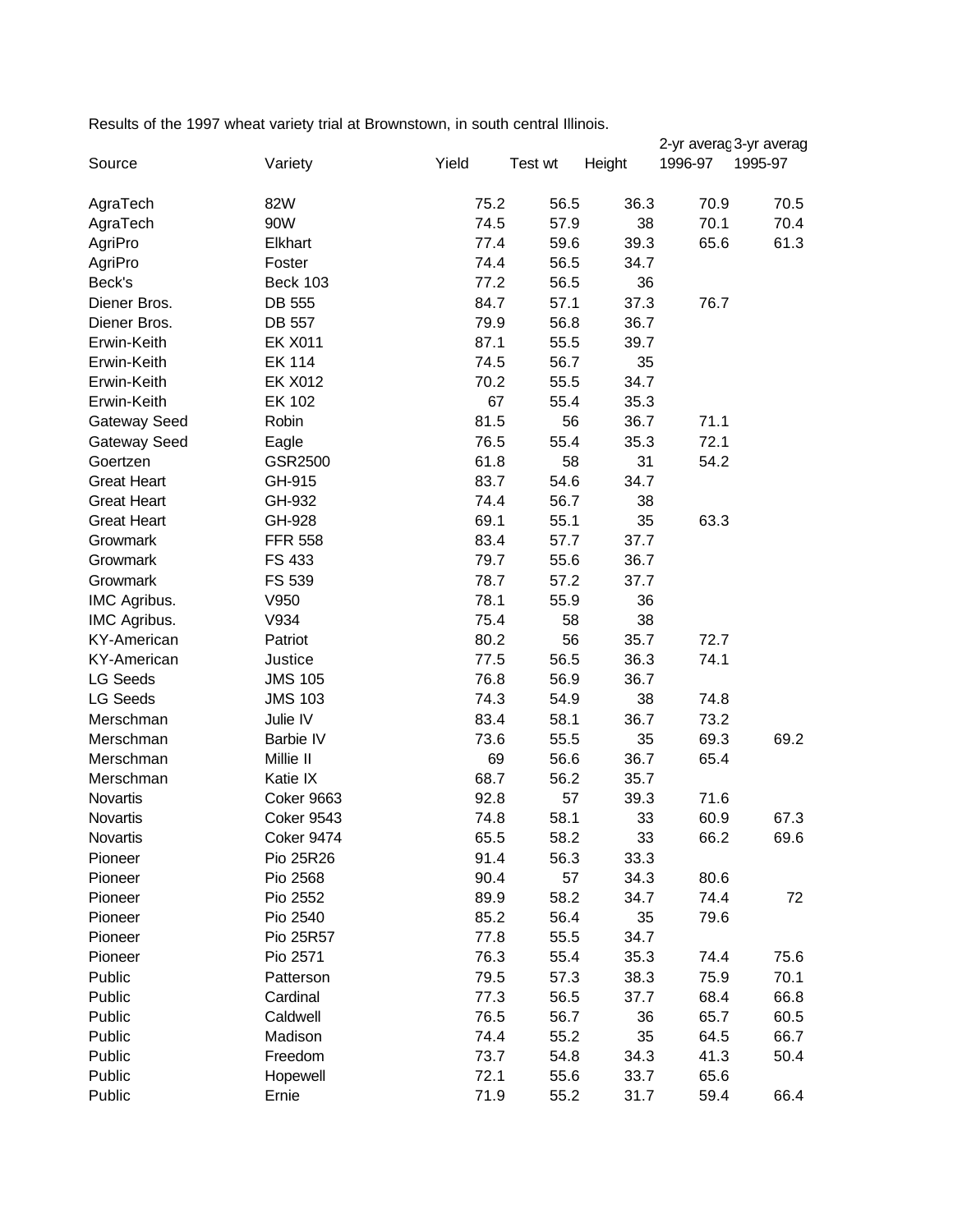Results of the 1997 wheat variety trial at Brownstown, in south central Illinois.

|                    |                   |       |         |        |         | 2-yr averaç 3-yr averag |
|--------------------|-------------------|-------|---------|--------|---------|-------------------------|
| Source             | Variety           | Yield | Test wt | Height | 1996-97 | 1995-97                 |
|                    | 82W               | 75.2  | 56.5    | 36.3   | 70.9    | 70.5                    |
| AgraTech           | 90W               | 74.5  | 57.9    | 38     | 70.1    | 70.4                    |
| AgraTech           |                   |       |         |        |         |                         |
| AgriPro            | Elkhart           | 77.4  | 59.6    | 39.3   | 65.6    | 61.3                    |
| AgriPro            | Foster            | 74.4  | 56.5    | 34.7   |         |                         |
| Beck's             | <b>Beck 103</b>   | 77.2  | 56.5    | 36     |         |                         |
| Diener Bros.       | DB 555            | 84.7  | 57.1    | 37.3   | 76.7    |                         |
| Diener Bros.       | DB 557            | 79.9  | 56.8    | 36.7   |         |                         |
| Erwin-Keith        | <b>EK X011</b>    | 87.1  | 55.5    | 39.7   |         |                         |
| Erwin-Keith        | <b>EK 114</b>     | 74.5  | 56.7    | 35     |         |                         |
| Erwin-Keith        | <b>EK X012</b>    | 70.2  | 55.5    | 34.7   |         |                         |
| Erwin-Keith        | EK 102            | 67    | 55.4    | 35.3   |         |                         |
| Gateway Seed       | Robin             | 81.5  | 56      | 36.7   | 71.1    |                         |
| Gateway Seed       | Eagle             | 76.5  | 55.4    | 35.3   | 72.1    |                         |
| Goertzen           | GSR2500           | 61.8  | 58      | 31     | 54.2    |                         |
| <b>Great Heart</b> | GH-915            | 83.7  | 54.6    | 34.7   |         |                         |
| <b>Great Heart</b> | GH-932            | 74.4  | 56.7    | 38     |         |                         |
| <b>Great Heart</b> | GH-928            | 69.1  | 55.1    | 35     | 63.3    |                         |
| Growmark           | <b>FFR 558</b>    | 83.4  | 57.7    | 37.7   |         |                         |
| Growmark           | FS 433            | 79.7  | 55.6    | 36.7   |         |                         |
| Growmark           | FS 539            | 78.7  | 57.2    | 37.7   |         |                         |
| IMC Agribus.       | V950              | 78.1  | 55.9    | 36     |         |                         |
| IMC Agribus.       | V934              | 75.4  | 58      | 38     |         |                         |
| <b>KY-American</b> | Patriot           | 80.2  | 56      | 35.7   | 72.7    |                         |
| <b>KY-American</b> | Justice           | 77.5  | 56.5    | 36.3   | 74.1    |                         |
| <b>LG Seeds</b>    | <b>JMS 105</b>    | 76.8  | 56.9    | 36.7   |         |                         |
| <b>LG Seeds</b>    | <b>JMS 103</b>    | 74.3  | 54.9    | 38     | 74.8    |                         |
| Merschman          | Julie IV          | 83.4  | 58.1    | 36.7   | 73.2    |                         |
| Merschman          | Barbie IV         | 73.6  | 55.5    | 35     | 69.3    | 69.2                    |
| Merschman          | Millie II         | 69    | 56.6    | 36.7   | 65.4    |                         |
| Merschman          | Katie IX          | 68.7  | 56.2    | 35.7   |         |                         |
| Novartis           | Coker 9663        | 92.8  | 57      | 39.3   | 71.6    |                         |
| Novartis           | <b>Coker 9543</b> | 74.8  | 58.1    | 33     | 60.9    | 67.3                    |
| Novartis           | Coker 9474        | 65.5  | 58.2    | 33     | 66.2    | 69.6                    |
| Pioneer            | Pio 25R26         | 91.4  | 56.3    | 33.3   |         |                         |
| Pioneer            | Pio 2568          | 90.4  | 57      | 34.3   | 80.6    |                         |
| Pioneer            | Pio 2552          | 89.9  | 58.2    | 34.7   | 74.4    | 72                      |
| Pioneer            | Pio 2540          | 85.2  | 56.4    | 35     | 79.6    |                         |
| Pioneer            | Pio 25R57         | 77.8  | 55.5    | 34.7   |         |                         |
| Pioneer            | Pio 2571          | 76.3  | 55.4    | 35.3   | 74.4    | 75.6                    |
| Public             | Patterson         | 79.5  | 57.3    | 38.3   | 75.9    | 70.1                    |
| Public             | Cardinal          | 77.3  | 56.5    | 37.7   | 68.4    | 66.8                    |
|                    |                   |       |         |        |         |                         |
| Public             | Caldwell          | 76.5  | 56.7    | 36     | 65.7    | 60.5                    |
| Public             | Madison           | 74.4  | 55.2    | 35     | 64.5    | 66.7                    |
| Public             | Freedom           | 73.7  | 54.8    | 34.3   | 41.3    | 50.4                    |
| Public             | Hopewell          | 72.1  | 55.6    | 33.7   | 65.6    |                         |
| Public             | Ernie             | 71.9  | 55.2    | 31.7   | 59.4    | 66.4                    |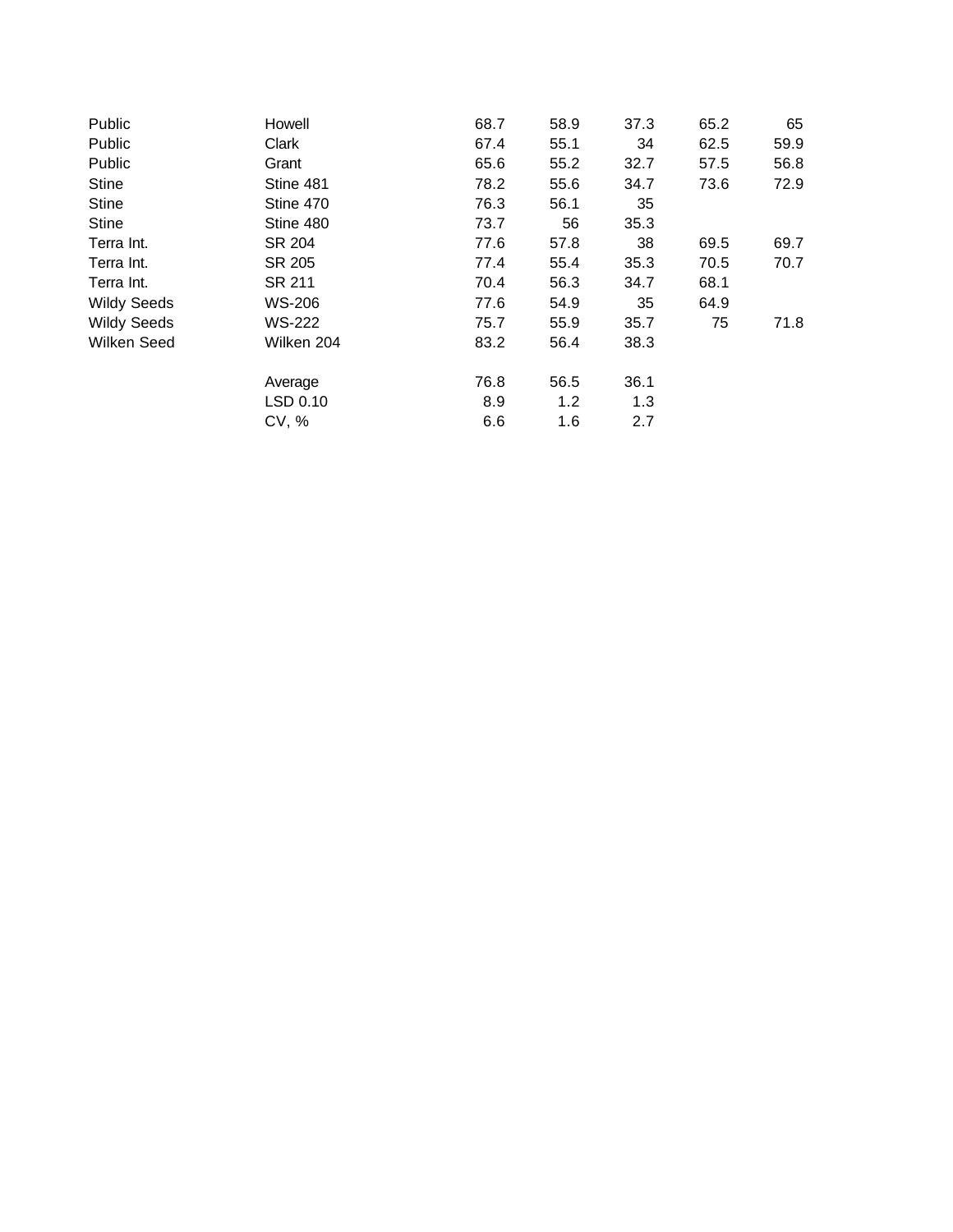| Public             | Howell     | 68.7 | 58.9 | 37.3 | 65.2 | 65   |
|--------------------|------------|------|------|------|------|------|
| Public             | Clark      | 67.4 | 55.1 | 34   | 62.5 | 59.9 |
| Public             | Grant      | 65.6 | 55.2 | 32.7 | 57.5 | 56.8 |
| <b>Stine</b>       | Stine 481  | 78.2 | 55.6 | 34.7 | 73.6 | 72.9 |
| <b>Stine</b>       | Stine 470  | 76.3 | 56.1 | 35   |      |      |
| <b>Stine</b>       | Stine 480  | 73.7 | 56   | 35.3 |      |      |
| Terra Int.         | SR 204     | 77.6 | 57.8 | 38   | 69.5 | 69.7 |
| Terra Int.         | SR 205     | 77.4 | 55.4 | 35.3 | 70.5 | 70.7 |
| Terra Int.         | SR 211     | 70.4 | 56.3 | 34.7 | 68.1 |      |
| <b>Wildy Seeds</b> | WS-206     | 77.6 | 54.9 | 35   | 64.9 |      |
| <b>Wildy Seeds</b> | WS-222     | 75.7 | 55.9 | 35.7 | 75   | 71.8 |
| Wilken Seed        | Wilken 204 | 83.2 | 56.4 | 38.3 |      |      |
|                    | Average    | 76.8 | 56.5 | 36.1 |      |      |
|                    | LSD 0.10   | 8.9  | 1.2  | 1.3  |      |      |
|                    | CV, %      | 6.6  | 1.6  | 2.7  |      |      |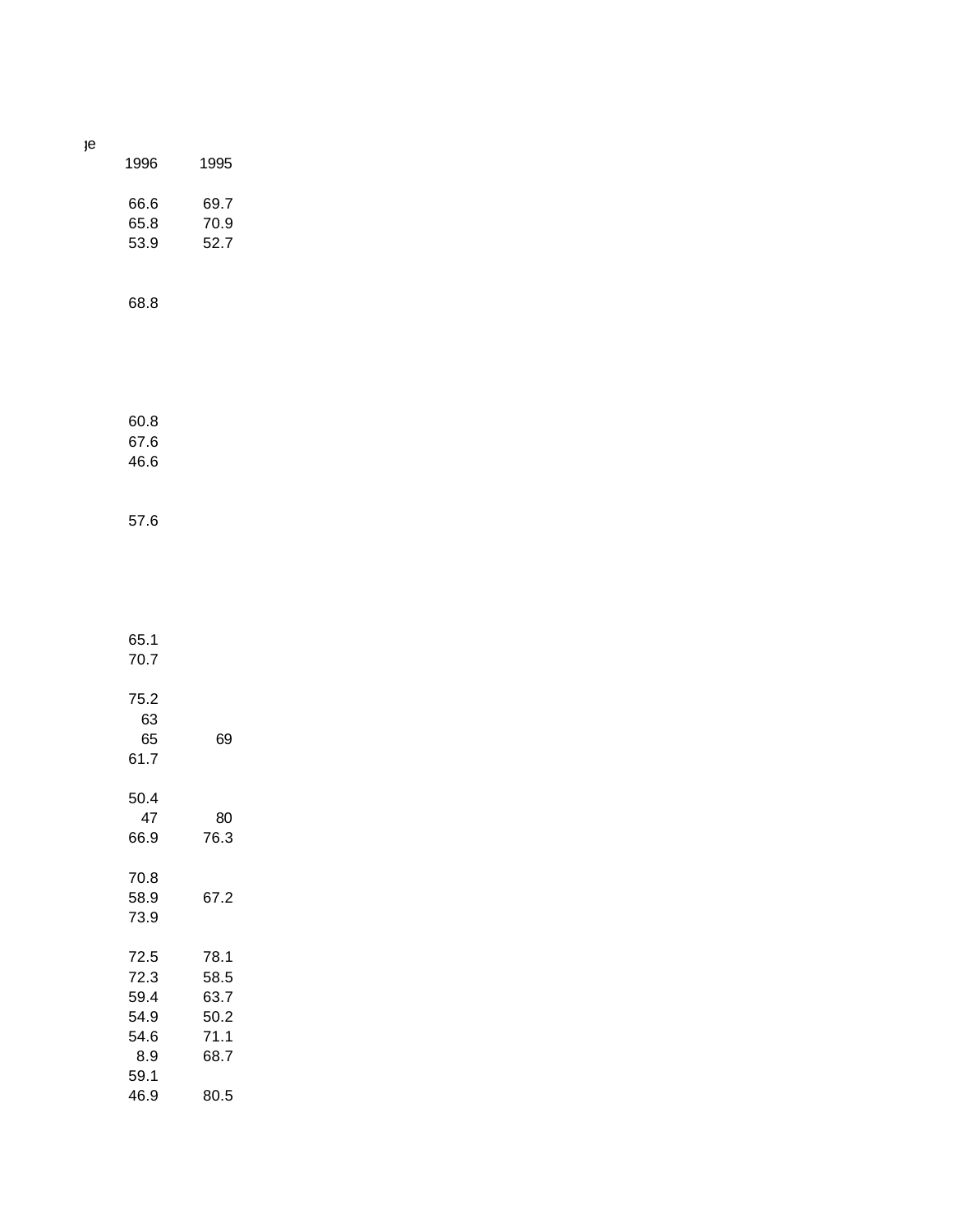| 1996                                                | 1995                                         |
|-----------------------------------------------------|----------------------------------------------|
| 66.6<br>65.8<br>53.9                                | 69.7<br>70.9<br>52.7                         |
| 68.8                                                |                                              |
| 60.8<br>67.6<br>46.6                                |                                              |
| 57.6                                                |                                              |
| 65.1<br>70.7                                        |                                              |
| 75.2<br>63<br>65<br>61.7                            | 69                                           |
| 50.4<br>47<br>66.9                                  | 80<br>76.3                                   |
| 70.8<br>58.9<br>73.9                                | 67.2                                         |
| 72.5<br>72.3<br>59.4<br>54.9<br>54.6<br>8.9<br>59.1 | 78.1<br>58.5<br>63.7<br>50.2<br>71.1<br>68.7 |

46.9 80.5

 $e$